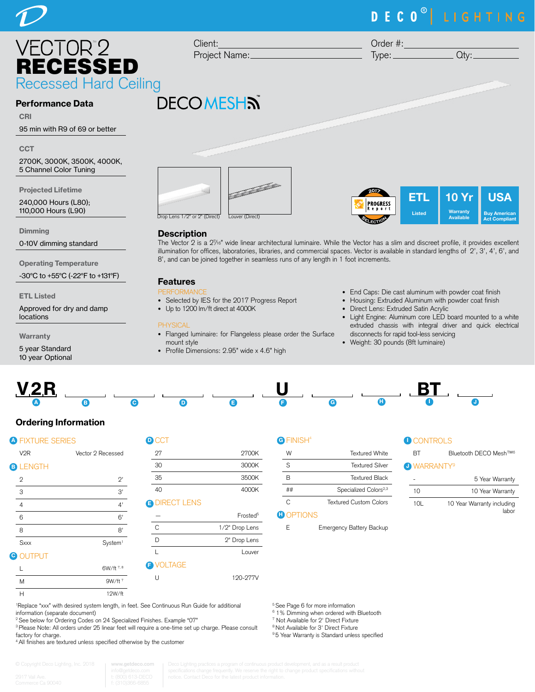# VECTOR<sup>®</sup>2  $2$  Client:<br>Projec RECESSED Recessed Hard Ceiling **DECOMESHN**

## Performance Data

CRI 95 min with R9 of 69 or better

**CCT** 

2700K, 3000K, 3500K, 4000K, 5 Channel Color Tuning

Projected Lifetime

240,000 Hours (L80); 110,000 Hours (L90)

**Dimming** 

0-10V dimming standard

Operating Temperature

-30°C to +55°C (-22°F to +131°F)

#### ETL Listed

Approved for dry and damp locations

**Warranty** 

5 year Standard 10 year Optional



### **Description**

The Vector 2 is a 27 /16" wide linear architectural luminaire. While the Vector has a slim and discreet profile, it provides excellent illumination for offices, laboratories, libraries, and commercial spaces. Vector is available in standard lengths of 2', 3', 4', 6', and 8', and can be joined together in seamless runs of any length in 1 foot increments.

# Features

- **PERMANE**
- Selected by IES for the 2017 Progress Report
- Up to 1200 lm/ft direct at 4000K

#### PHYSICAL

- Flanged luminaire: for Flangeless please order the Surface mount style
- Profile Dimensions: 2.95" wide x 4.6" high

• End Caps: Die cast aluminum with powder coat finish

ETL Listed

USA Buy American Act Compliant

10 Yr **Warranty** Available

- Housing: Extruded Aluminum with powder coat finish
- Direct Lens: Extruded Satin Acrylic

PROGRESS  $10011$ 

- Light Engine: Aluminum core LED board mounted to a white extruded chassis with integral driver and quick electrical disconnects for rapid tool-less servicing
- Weight: 30 pounds (8ft luminaire)



# Ordering Information

| <b>A FIXTURE SERIES</b> |                     | $\blacksquare$ CCT |  |
|-------------------------|---------------------|--------------------|--|
| V <sub>2R</sub>         | Vector 2 Recessed   | 27                 |  |
| <b>BLENGTH</b>          |                     | 30                 |  |
| $\mathbf{2}$            | 2'                  | 35                 |  |
| 3                       | 3'                  | 40                 |  |
| $\overline{4}$          | 4'                  | <b>O</b> DIRECT L  |  |
| 6                       | 6'                  |                    |  |
| 8                       | 8'                  | $\mathsf{C}$       |  |
| <b>Sxxx</b>             | System <sup>1</sup> | D                  |  |
| <b>O</b> OUTPUT         |                     |                    |  |
|                         | 6W/ft 7, 8          | <b>B</b> VOLTAGE   |  |
|                         |                     |                    |  |

| $\blacksquare$ CCT   |                      |
|----------------------|----------------------|
| 27                   | 2700K                |
| 30                   | 3000K                |
| 35                   | 3500K                |
| 40                   | 4000K                |
| <b>B DIRECT LENS</b> |                      |
|                      | Frosted <sup>5</sup> |
| C                    | 1/2" Drop Lens       |
| D                    | 2" Drop Lens         |
|                      | Louver               |
| VALTAAF              |                      |

U 120-277V

| W  | <b>Textured White</b>             |
|----|-----------------------------------|
| S  | Textured Silver                   |
| R  | <b>Textured Black</b>             |
| ## | Specialized Colors <sup>2,3</sup> |
| ◠  | <b>Textured Custom Colors</b>     |

### **D** OPTIONS

5 See Page 6 for more information <sup>6</sup> 1% Dimming when ordered with Bluetooth 7 Not Available for 2' Direct Fixture 8 Not Available for 3' Direct Fixture 9 5 Year Warranty is Standard unless specified

E Emergency Battery Backup



| RT                            | Bluetooth DECO Mesh™ <sup>6</sup> |
|-------------------------------|-----------------------------------|
| <b>J WARRANTY<sup>9</sup></b> |                                   |
|                               | 5 Year Warranty                   |

| 10              | 10 Year Warranty                    |
|-----------------|-------------------------------------|
| 10 <sub>l</sub> | 10 Year Warranty including<br>labor |

1 Replace "xxx" with desired system length, in feet. See Continuous Run Guide for additional information (separate document)

<sup>2</sup> See below for Ordering Codes on 24 Specialized Finishes. Example "07"

<sup>3</sup> Please Note: All orders under 25 linear feet will require a one-time set up charge. Please consult factory for charge.

4 All finishes are textured unless specified otherwise by the customer

| © Copyright Deco Lighting, Inc. 2018 | www.getdeco.com<br>info@getdeco.com |
|--------------------------------------|-------------------------------------|
| 9917 Vail Ave.                       | t: (800) 613-DECO                   |
| Commerce Ca 90040                    | f: (310)366-6855                    |

M 9W/ft  $7$ H 12W/ft

# DECO<sup>®</sup> LIGHTING

Project Name: Order #:  $Type:$   $Qty:$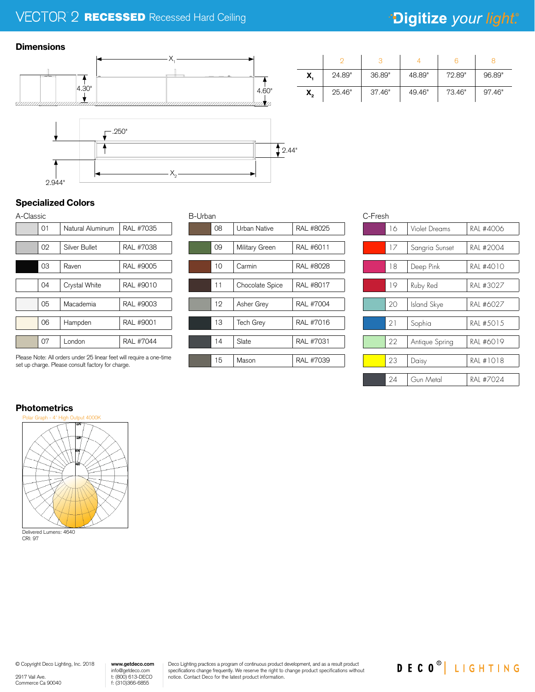# $\mathbb{R}$  **RECESSED** Recessed Hard Ceiling

# \*Digitize your light.

### **Dimensions**



# 2.944"

## Specialized Colors

| A-Classic |    |                  |           |  |  |
|-----------|----|------------------|-----------|--|--|
|           | 01 | Natural Aluminum | RAL #7035 |  |  |
|           |    |                  |           |  |  |
|           | 02 | Silver Bullet    | RAL #7038 |  |  |
|           |    |                  |           |  |  |
|           | 03 | Raven            | RAL #9005 |  |  |
|           |    |                  |           |  |  |
|           | 04 | Crystal White    | RAL #9010 |  |  |
|           |    |                  |           |  |  |
|           | 05 | Macademia        | RAL #9003 |  |  |
|           |    |                  |           |  |  |
|           | 06 | Hampden          | RAL #9001 |  |  |
|           |    |                  |           |  |  |
|           | 07 | London           | RAL #7044 |  |  |

Please Note: All orders under 25 linear feet will require a one-time set up charge. Please consult factory for charge.

| B-Urban |    |                 |           |  |  |  |
|---------|----|-----------------|-----------|--|--|--|
|         | 08 | Urban Native    | RAL #8025 |  |  |  |
|         |    |                 |           |  |  |  |
|         | 09 | Military Green  | RAL #6011 |  |  |  |
|         |    |                 |           |  |  |  |
|         | 10 | Carmin          | RAL #8028 |  |  |  |
|         |    |                 |           |  |  |  |
|         | 11 | Chocolate Spice | RAL #8017 |  |  |  |
|         |    |                 |           |  |  |  |
|         | 12 | Asher Grey      | RAL #7004 |  |  |  |
|         |    |                 |           |  |  |  |
|         | 13 | Tech Grey       | RAL #7016 |  |  |  |
|         |    |                 |           |  |  |  |
|         | 14 | Slate           | RAL #7031 |  |  |  |
|         |    |                 |           |  |  |  |
|         | 15 | Mason           | RAL #7039 |  |  |  |

| X,             | 24.89" | 36.89" | 48.89" | 72.89" | 96.89" |
|----------------|--------|--------|--------|--------|--------|
| $\mathsf{X}_2$ | 25.46" | 37.46" | 49.46" | 73.46" | 97.46" |

| C-Fresh |                |               |  |  |  |
|---------|----------------|---------------|--|--|--|
| 16      |                | RAI #4006     |  |  |  |
|         |                |               |  |  |  |
| 17      | Sangria Sunset | RAI #2004     |  |  |  |
|         |                |               |  |  |  |
| 18      | Deep Pink      | RAI #4010     |  |  |  |
|         |                |               |  |  |  |
| 19      | Ruby Red       | RAL #3027     |  |  |  |
|         |                |               |  |  |  |
| 20      | Island Skye    | RAI #6027     |  |  |  |
|         |                |               |  |  |  |
| 21      | Sophia         | RAI #5015     |  |  |  |
|         |                |               |  |  |  |
| 22      | Antique Spring | RAI #6019     |  |  |  |
|         |                |               |  |  |  |
| 23      | Daisy          | RAI #1018     |  |  |  |
|         |                |               |  |  |  |
| 24      | Gun Metal      | RAI #7024     |  |  |  |
|         |                | Violet Dreams |  |  |  |

# **Photometrics**



© Copyright Deco Lighting, Inc. 2018

2917 Vail Ave. Commerce Ca 90040

info@getdeco.com t: (800) 613-DECO f: (310)366-6855 **www.getdeco.com** Deco Lighting practices a program of continuous product development, and as a result product specifications change frequently. We reserve the right to change product specifications without notice. Contact Deco for the latest product information.

DECO<sup>®</sup> LIGHTING